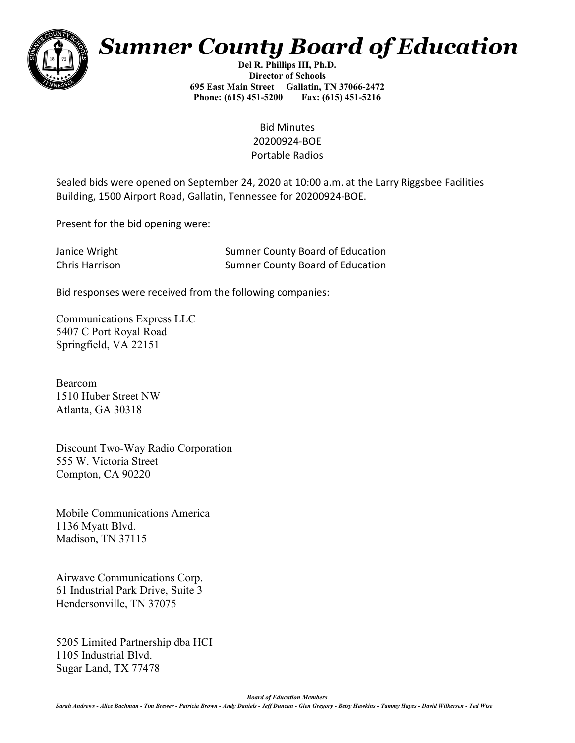

## *Sumner County Board of Education*

**Del R. Phillips III, Ph.D. Director of Schools 695 East Main Street Gallatin, TN 37066-2472 Phone: (615) 451-5200 Fax: (615) 451-5216** 

> Bid Minutes 20200924-BOE Portable Radios

Sealed bids were opened on September 24, 2020 at 10:00 a.m. at the Larry Riggsbee Facilities Building, 1500 Airport Road, Gallatin, Tennessee for 20200924-BOE.

Present for the bid opening were:

| Janice Wright  | <b>Sumner County Board of Education</b> |
|----------------|-----------------------------------------|
| Chris Harrison | <b>Sumner County Board of Education</b> |

Bid responses were received from the following companies:

Communications Express LLC 5407 C Port Royal Road Springfield, VA 22151

Bearcom 1510 Huber Street NW Atlanta, GA 30318

Discount Two-Way Radio Corporation 555 W. Victoria Street Compton, CA 90220

Mobile Communications America 1136 Myatt Blvd. Madison, TN 37115

Airwave Communications Corp. 61 Industrial Park Drive, Suite 3 Hendersonville, TN 37075

5205 Limited Partnership dba HCI 1105 Industrial Blvd. Sugar Land, TX 77478